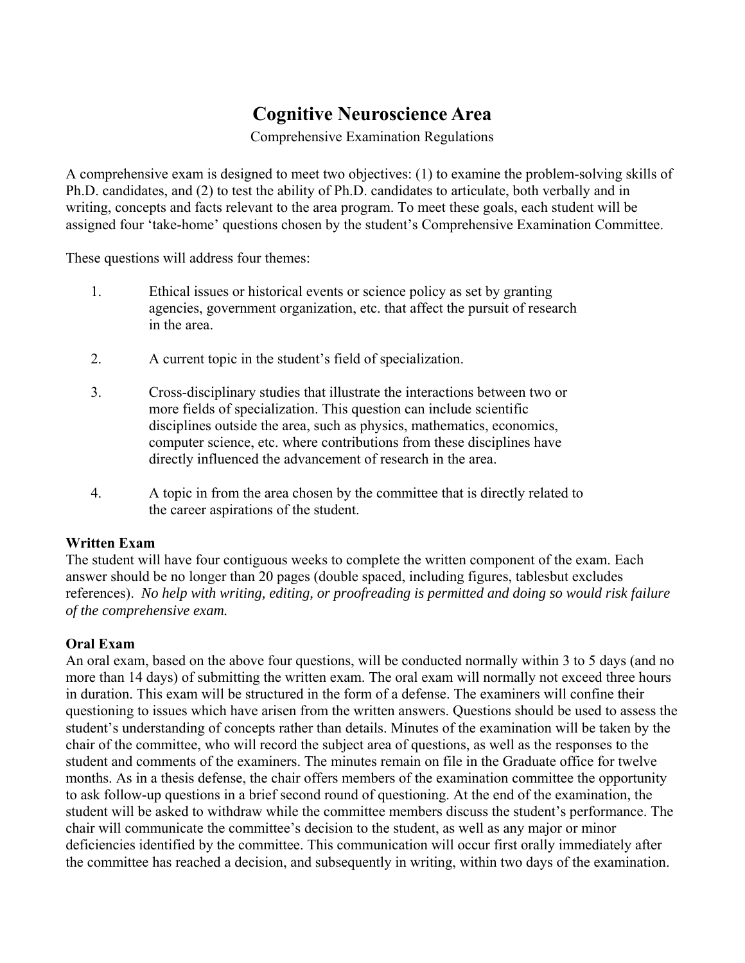# **Cognitive Neuroscience Area**

Comprehensive Examination Regulations

A comprehensive exam is designed to meet two objectives: (1) to examine the problem-solving skills of Ph.D. candidates, and (2) to test the ability of Ph.D. candidates to articulate, both verbally and in writing, concepts and facts relevant to the area program. To meet these goals, each student will be assigned four 'take-home' questions chosen by the student's Comprehensive Examination Committee.

These questions will address four themes:

- 1. Ethical issues or historical events or science policy as set by granting agencies, government organization, etc. that affect the pursuit of research in the area.
- 2. A current topic in the student's field of specialization.
- 3. Cross-disciplinary studies that illustrate the interactions between two or more fields of specialization. This question can include scientific disciplines outside the area, such as physics, mathematics, economics, computer science, etc. where contributions from these disciplines have directly influenced the advancement of research in the area.
- 4. A topic in from the area chosen by the committee that is directly related to the career aspirations of the student.

# **Written Exam**

The student will have four contiguous weeks to complete the written component of the exam. Each answer should be no longer than 20 pages (double spaced, including figures, tablesbut excludes references). *No help with writing, editing, or proofreading is permitted and doing so would risk failure of the comprehensive exam.*

# **Oral Exam**

An oral exam, based on the above four questions, will be conducted normally within 3 to 5 days (and no more than 14 days) of submitting the written exam. The oral exam will normally not exceed three hours in duration. This exam will be structured in the form of a defense. The examiners will confine their questioning to issues which have arisen from the written answers. Questions should be used to assess the student's understanding of concepts rather than details. Minutes of the examination will be taken by the chair of the committee, who will record the subject area of questions, as well as the responses to the student and comments of the examiners. The minutes remain on file in the Graduate office for twelve months. As in a thesis defense, the chair offers members of the examination committee the opportunity to ask follow-up questions in a brief second round of questioning. At the end of the examination, the student will be asked to withdraw while the committee members discuss the student's performance. The chair will communicate the committee's decision to the student, as well as any major or minor deficiencies identified by the committee. This communication will occur first orally immediately after the committee has reached a decision, and subsequently in writing, within two days of the examination.